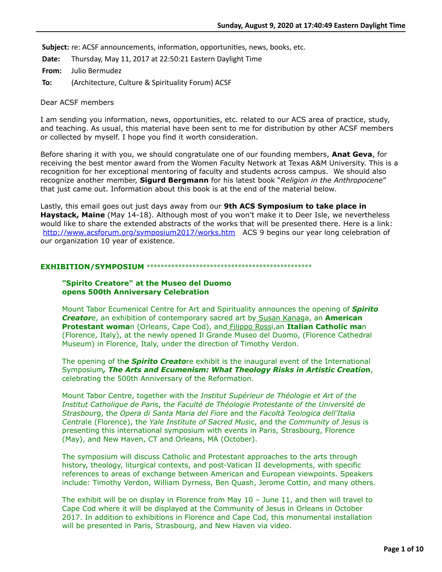**Subject:** re: ACSF announcements, information, opportunities, news, books, etc.

**Date:** Thursday, May 11, 2017 at 22:50:21 Eastern Daylight Time

**From:** Julio Bermudez

**To:** (Architecture, Culture & Spirituality Forum) ACSF

Dear ACSF members

I am sending you information, news, opportunities, etc. related to our ACS area of practice, study, and teaching. As usual, this material have been sent to me for distribution by other ACSF members or collected by myself. I hope you find it worth consideration.

Before sharing it with you, we should congratulate one of our founding members, **Anat Geva**, for receiving the best mentor award from the Women Faculty Network at Texas A&M University. This is a recognition for her exceptional mentoring of faculty and students across campus. We should also recognize another member, **Sigurd Bergmann** for his latest book "*Religion in the Anthropocene*" that just came out. Information about this book is at the end of the material below.

Lastly, this email goes out just days away from our **9th ACS Symposium to take place in Haystack, Maine** (May 14-18). Although most of you won't make it to Deer Isle, we nevertheless would like to share the extended abstracts of the works that will be presented there. Here is a link: <http://www.acsforum.org/symposium2017/works.htm> ACS 9 begins our year long celebration of our organization 10 year of existence.

## **EXHIBITION/SYMPOSIUM** \*\*\*\*\*\*\*\*\*\*\*\*\*\*\*\*\*\*\*\*\*\*\*\*\*\*\*\*\*\*\*\*\*\*\*\*\*\*\*\*\*\*\*\*\*\*\*

## **"Spirito Creatore" at the Museo del Duomo opens 500th Anniversary Celebration**

Mount Tabor Ecumenical Centre for Art and Spirituality announces the opening of *Spirito Creator*e, an exhibition of contemporary sacred art by Susan Kanaga, an **American Protestant woma**n (Orleans, Cape Cod), and Filippo Rossi,an **Italian Catholic ma**n (Florence, Italy), at the newly opened Il Grande Museo del Duomo, (Florence Cathedral Museum) in Florence, Italy, under the direction of Timothy Verdon.

The opening of th*e Spirito Creato*re exhibit is the inaugural event of the International Symposium*, The Arts and Ecumenism: What Theology Risks in Artistic Creatio***n**, celebrating the 500th Anniversary of the Reformation.

Mount Tabor Centre, together with th*e Institut Supérieur de Théologie et Art of the Institut Catholique de Par*is, th*e Faculté de Théologie Protestante of the Université de Strasbou*rg, th*e Opera di Santa Maria del Fio*re and th*e Facoltà Teologica dell'Italia Centra*le (Florence), th*e Yale Institute of Sacred Mus*ic, and th*e Community of Jes*us is presenting this international symposium with events in Paris, Strasbourg, Florence (May), and New Haven, CT and Orleans, MA (October).

The symposium will discuss Catholic and Protestant approaches to the arts through history, theology, liturgical contexts, and post-Vatican II developments, with specific references to areas of exchange between American and European viewpoints. Speakers include: Timothy Verdon, William Dyrness, Ben Quash, Jerome Cottin, and many others.

The exhibit will be on display in Florence from May 10 – June 11, and then will travel to Cape Cod where it will be displayed at the Community of Jesus in Orleans in October 2017. In addition to exhibitions in Florence and Cape Cod, this monumental installation will be presented in Paris, Strasbourg, and New Haven via video.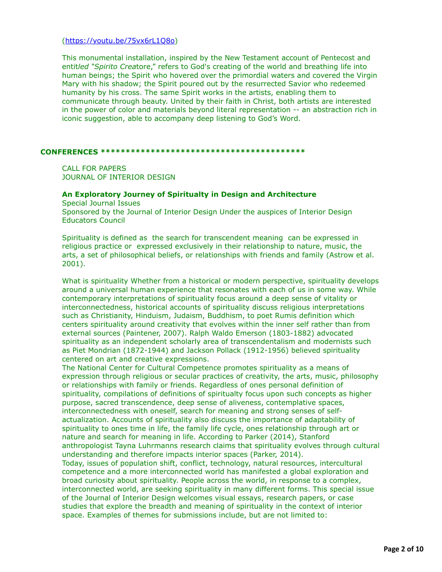## [\(https://youtu.be/75vx6rL1Q8o](https://youtu.be/75vx6rL1Q8o))

This monumental installation, inspired by the New Testament account of Pentecost and entit*led "Spirito Crea*tore," refers to God's creating of the world and breathing life into human beings; the Spirit who hovered over the primordial waters and covered the Virgin Mary with his shadow; the Spirit poured out by the resurrected Savior who redeemed humanity by his cross. The same Spirit works in the artists, enabling them to communicate through beauty. United by their faith in Christ, both artists are interested in the power of color and materials beyond literal representation -- an abstraction rich in iconic suggestion, able to accompany deep listening to God's Word.

## **CONFERENCES \*\*\*\*\*\*\*\*\*\*\*\*\*\*\*\*\*\*\*\*\*\*\*\*\*\*\*\*\*\*\*\*\*\*\*\*\*\*\*\*\***

CALL FOR PAPERS JOURNAL OF INTERIOR DESIGN

# **An Exploratory Journey of Spiritualty in Design and Architecture**

Special Journal Issues Sponsored by the Journal of Interior Design Under the auspices of Interior Design Educators Council

Spirituality is defined as the search for transcendent meaning can be expressed in religious practice or expressed exclusively in their relationship to nature, music, the arts, a set of philosophical beliefs, or relationships with friends and family (Astrow et al. 2001).

What is spirituality Whether from a historical or modern perspective, spirituality develops around a universal human experience that resonates with each of us in some way. While contemporary interpretations of spirituality focus around a deep sense of vitality or interconnectedness, historical accounts of spirituality discuss religious interpretations such as Christianity, Hinduism, Judaism, Buddhism, to poet Rumis definition which centers spirituality around creativity that evolves within the inner self rather than from external sources (Paintener, 2007). Ralph Waldo Emerson (1803-1882) advocated spirituality as an independent scholarly area of transcendentalism and modernists such as Piet Mondrian (1872-1944) and Jackson Pollack (1912-1956) believed spirituality centered on art and creative expressions.

The National Center for Cultural Competence promotes spirituality as a means of expression through religious or secular practices of creativity, the arts, music, philosophy or relationships with family or friends. Regardless of ones personal definition of spirituality, compilations of definitions of spiritualty focus upon such concepts as higher purpose, sacred transcendence, deep sense of aliveness, contemplative spaces, interconnectedness with oneself, search for meaning and strong senses of selfactualization. Accounts of spirituality also discuss the importance of adaptability of spirituality to ones time in life, the family life cycle, ones relationship through art or nature and search for meaning in life. According to Parker (2014), Stanford anthropologist Tayna Luhrmanns research claims that spirituality evolves through cultural understanding and therefore impacts interior spaces (Parker, 2014).

Today, issues of population shift, conflict, technology, natural resources, intercultural competence and a more interconnected world has manifested a global exploration and broad curiosity about spirituality. People across the world, in response to a complex, interconnected world, are seeking spirituality in many different forms. This special issue of the Journal of Interior Design welcomes visual essays, research papers, or case studies that explore the breadth and meaning of spirituality in the context of interior space. Examples of themes for submissions include, but are not limited to: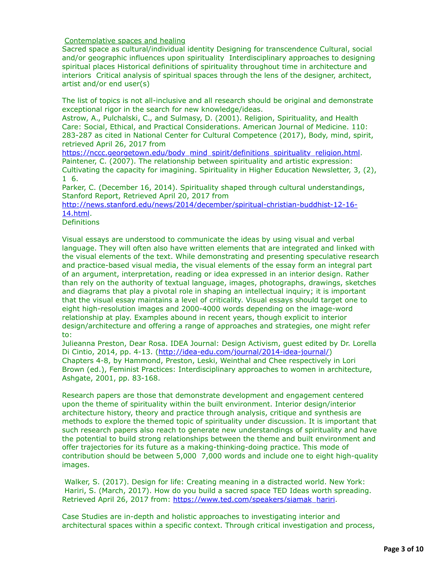## Contemplative spaces and healing

Sacred space as cultural/individual identity Designing for transcendence Cultural, social and/or geographic influences upon spirituality Interdisciplinary approaches to designing spiritual places Historical definitions of spirituality throughout time in architecture and interiors Critical analysis of spiritual spaces through the lens of the designer, architect, artist and/or end user(s)

The list of topics is not all-inclusive and all research should be original and demonstrate exceptional rigor in the search for new knowledge/ideas.

Astrow, A., Pulchalski, C., and Sulmasy, D. (2001). Religion, Spirituality, and Health Care: Social, Ethical, and Practical Considerations. American Journal of Medicine. 110: 283-287 as cited in National Center for Cultural Competence (2017), Body, mind, spirit, retrieved April 26, 2017 from

[https://nccc.georgetown.edu/body\\_mind\\_spirit/definitions\\_spirituality\\_religion.html.](https://nccc.georgetown.edu/body_mind_spirit/definitions_spirituality_religion.html) Paintener, C. (2007). The relationship between spirituality and artistic expression: Cultivating the capacity for imagining. Spirituality in Higher Education Newsletter, 3, (2), 1 6.

Parker, C. (December 16, 2014). Spirituality shaped through cultural understandings, Stanford Report, Retrieved April 20, 2017 from

[http://news.stanford.edu/news/2014/december/spiritual-christian-buddhist-12-16-](http://news.stanford.edu/news/2014/december/spiritual-christian-buddhist-12-16-14.html) 14.html.

## **Definitions**

Visual essays are understood to communicate the ideas by using visual and verbal language. They will often also have written elements that are integrated and linked with the visual elements of the text. While demonstrating and presenting speculative research and practice-based visual media, the visual elements of the essay form an integral part of an argument, interpretation, reading or idea expressed in an interior design. Rather than rely on the authority of textual language, images, photographs, drawings, sketches and diagrams that play a pivotal role in shaping an intellectual inquiry; it is important that the visual essay maintains a level of criticality. Visual essays should target one to eight high-resolution images and 2000-4000 words depending on the image-word relationship at play. Examples abound in recent years, though explicit to interior design/architecture and offering a range of approaches and strategies, one might refer to:

Julieanna Preston, Dear Rosa. IDEA Journal: Design Activism, guest edited by Dr. Lorella Di Cintio, 2014, pp. 4-13. ([http://idea-edu.com/journal/2014-idea-journal/\)](http://idea-edu.com/journal/2014-idea-journal/) Chapters 4-8, by Hammond, Preston, Leski, Weinthal and Chee respectively in Lori Brown (ed.), Feminist Practices: Interdisciplinary approaches to women in architecture, Ashgate, 2001, pp. 83-168.

Research papers are those that demonstrate development and engagement centered upon the theme of spirituality within the built environment. Interior design/interior architecture history, theory and practice through analysis, critique and synthesis are methods to explore the themed topic of spirituality under discussion. It is important that such research papers also reach to generate new understandings of spirituality and have the potential to build strong relationships between the theme and built environment and offer trajectories for its future as a making-thinking-doing practice. This mode of contribution should be between 5,000 7,000 words and include one to eight high-quality images.

 Walker, S. (2017). Design for life: Creating meaning in a distracted world. New York: Hariri, S. (March, 2017). How do you build a sacred space TED Ideas worth spreading. Retrieved April 26, 2017 from: [https://www.ted.com/speakers/siamak\\_hariri](https://www.ted.com/speakers/siamak_hariri).

Case Studies are in-depth and holistic approaches to investigating interior and architectural spaces within a specific context. Through critical investigation and process,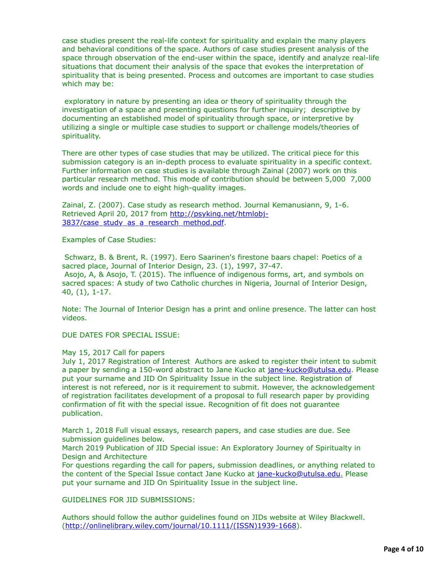case studies present the real-life context for spirituality and explain the many players and behavioral conditions of the space. Authors of case studies present analysis of the space through observation of the end-user within the space, identify and analyze real-life situations that document their analysis of the space that evokes the interpretation of spirituality that is being presented. Process and outcomes are important to case studies which may be:

 exploratory in nature by presenting an idea or theory of spirituality through the investigation of a space and presenting questions for further inquiry; descriptive by documenting an established model of spirituality through space, or interpretive by utilizing a single or multiple case studies to support or challenge models/theories of spirituality.

There are other types of case studies that may be utilized. The critical piece for this submission category is an in-depth process to evaluate spirituality in a specific context. Further information on case studies is available through Zainal (2007) work on this particular research method. This mode of contribution should be between 5,000 7,000 words and include one to eight high-quality images.

Zainal, Z. (2007). Case study as research method. Journal Kemanusiann, 9, 1-6. [Retrieved April 20, 2017 from http://psyking.net/htmlobj-](http://psyking.net/htmlobj-3837/case_study_as_a_research_method.pdf)3837/case\_study\_as\_a\_research\_method.pdf.

Examples of Case Studies:

 Schwarz, B. & Brent, R. (1997). Eero Saarinen's firestone baars chapel: Poetics of a sacred place, Journal of Interior Design, 23. (1), 1997, 37-47. Asojo, A, & Asojo, T. (2015). The influence of indigenous forms, art, and symbols on sacred spaces: A study of two Catholic churches in Nigeria, Journal of Interior Design, 40, (1), 1-17.

Note: The Journal of Interior Design has a print and online presence. The latter can host videos.

DUE DATES FOR SPECIAL ISSUE:

## May 15, 2017 Call for papers

July 1, 2017 Registration of Interest Authors are asked to register their intent to submit a paper by sending a 150-word abstract to Jane Kucko at [jane-kucko@utulsa.edu](applewebdata://8DFD44B5-A39A-476E-B232-4712471B329F/jane-kucko@utulsa.edu). Please put your surname and JID On Spirituality Issue in the subject line. Registration of interest is not refereed, nor is it requirement to submit. However, the acknowledgement of registration facilitates development of a proposal to full research paper by providing confirmation of fit with the special issue. Recognition of fit does not guarantee publication.

March 1, 2018 Full visual essays, research papers, and case studies are due. See submission guidelines below.

March 2019 Publication of JID Special issue: An Exploratory Journey of Spiritualty in Design and Architecture

For questions regarding the call for papers, submission deadlines, or anything related to the content of the Special Issue contact Jane Kucko at [jane-kucko@utulsa.edu.](applewebdata://8DFD44B5-A39A-476E-B232-4712471B329F/jane-kucko@utulsa.edu) Please put your surname and JID On Spirituality Issue in the subject line.

GUIDELINES FOR JID SUBMISSIONS:

Authors should follow the author guidelines found on JIDs website at Wiley Blackwell. [\(http://onlinelibrary.wiley.com/journal/10.1111/\(ISSN\)1939-1668\)](http://onlinelibrary.wiley.com/journal/10.1111/(ISSN)1939-1668).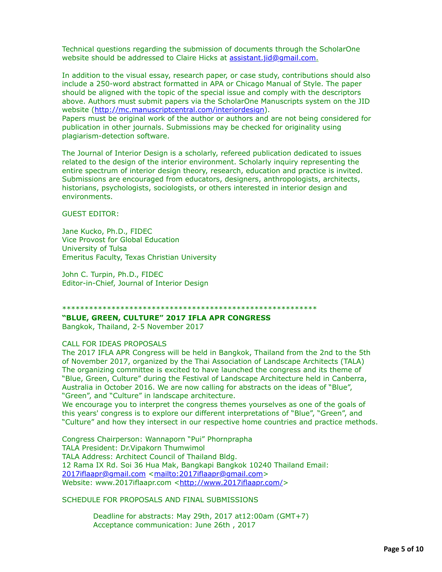Technical questions regarding the submission of documents through the ScholarOne website should be addressed to Claire Hicks at [assistant.jid@gmail.com.](applewebdata://8DFD44B5-A39A-476E-B232-4712471B329F/assistant.jid@gmail.com)

In addition to the visual essay, research paper, or case study, contributions should also include a 250-word abstract formatted in APA or Chicago Manual of Style. The paper should be aligned with the topic of the special issue and comply with the descriptors above. Authors must submit papers via the ScholarOne Manuscripts system on the JID website [\(http://mc.manuscriptcentral.com/interiordesign](http://mc.manuscriptcentral.com/interiordesign)).

Papers must be original work of the author or authors and are not being considered for publication in other journals. Submissions may be checked for originality using plagiarism-detection software.

The Journal of Interior Design is a scholarly, refereed publication dedicated to issues related to the design of the interior environment. Scholarly inquiry representing the entire spectrum of interior design theory, research, education and practice is invited. Submissions are encouraged from educators, designers, anthropologists, architects, historians, psychologists, sociologists, or others interested in interior design and environments.

## GUEST EDITOR:

Jane Kucko, Ph.D., FIDEC Vice Provost for Global Education University of Tulsa Emeritus Faculty, Texas Christian University

John C. Turpin, Ph.D., FIDEC Editor-in-Chief, Journal of Interior Design

### \*\*\*\*\*\*\*\*\*\*\*\*\*\*\*\*\*\*\*\*\*\*\*\*\*\*\*\*\*\*\*\*\*\*\*\*\*\*\*\*\*\*\*\*\*\*\*\*\*\*\*\*\*\*\*\*\*

## **"BLUE, GREEN, CULTURE" 2017 IFLA APR CONGRESS**

Bangkok, Thailand, 2-5 November 2017

## CALL FOR IDEAS PROPOSALS

The 2017 IFLA APR Congress will be held in Bangkok, Thailand from the 2nd to the 5th of November 2017, organized by the Thai Association of Landscape Architects (TALA) The organizing committee is excited to have launched the congress and its theme of "Blue, Green, Culture" during the Festival of Landscape Architecture held in Canberra, Australia in October 2016. We are now calling for abstracts on the ideas of "Blue", "Green", and "Culture" in landscape architecture.

We encourage you to interpret the congress themes yourselves as one of the goals of this years' congress is to explore our different interpretations of "Blue", "Green", and "Culture" and how they intersect in our respective home countries and practice methods.

Congress Chairperson: Wannaporn "Pui" Phornprapha TALA President: Dr.Vipakorn Thumwimol TALA Address: Architect Council of Thailand Bldg. 12 Rama IX Rd. Soi 36 Hua Mak, Bangkapi Bangkok 10240 Thailand Email: [2017iflaapr@gmail.com](applewebdata://8DFD44B5-A39A-476E-B232-4712471B329F/2017iflaapr@gmail.com) [<mailto:2017iflaapr@gmail.com](mailto:2017iflaapr@gmail.com)> Website: www.2017iflaapr.com [<http://www.2017iflaapr.com/>](http://www.2017iflaapr.com/)

SCHEDULE FOR PROPOSALS AND FINAL SUBMISSIONS

 Deadline for abstracts: May 29th, 2017 at12:00am (GMT+7) Acceptance communication: June 26th , 2017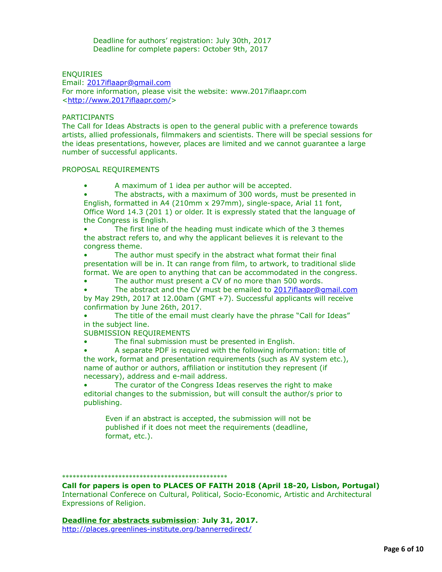Deadline for authors' registration: July 30th, 2017 Deadline for complete papers: October 9th, 2017

## **ENQUIRIES**

Email: [2017iflaapr@gmail.com](applewebdata://8DFD44B5-A39A-476E-B232-4712471B329F/2017iflaapr@gmail.com) For more information, please visit the website: www.2017iflaapr.com <[http://www.2017iflaapr.com/>](http://www.2017iflaapr.com/)

## PARTICIPANTS

The Call for Ideas Abstracts is open to the general public with a preference towards artists, allied professionals, filmmakers and scientists. There will be special sessions for the ideas presentations, however, places are limited and we cannot guarantee a large number of successful applicants.

### PROPOSAL REQUIREMENTS

- A maximum of 1 idea per author will be accepted.
- The abstracts, with a maximum of 300 words, must be presented in English, formatted in A4 (210mm x 297mm), single-space, Arial 11 font, Office Word 14.3 (201 1) or older. It is expressly stated that the language of the Congress is English.

The first line of the heading must indicate which of the 3 themes the abstract refers to, and why the applicant believes it is relevant to the congress theme.

The author must specify in the abstract what format their final presentation will be in. It can range from film, to artwork, to traditional slide format. We are open to anything that can be accommodated in the congress.

The author must present a CV of no more than 500 words.

The abstract and the CV must be emailed to [2017iflaapr@gmail.com](applewebdata://8DFD44B5-A39A-476E-B232-4712471B329F/2017iflaapr@gmail.com) by May 29th, 2017 at 12.00am (GMT +7). Successful applicants will receive confirmation by June 26th, 2017.

The title of the email must clearly have the phrase "Call for Ideas" in the subject line.

SUBMISSION REQUIREMENTS

The final submission must be presented in English.

• A separate PDF is required with the following information: title of the work, format and presentation requirements (such as AV system etc.), name of author or authors, affiliation or institution they represent (if necessary), address and e-mail address.

• The curator of the Congress Ideas reserves the right to make editorial changes to the submission, but will consult the author/s prior to publishing.

Even if an abstract is accepted, the submission will not be published if it does not meet the requirements (deadline, format, etc.).

# \*\*\*\*\*\*\*\*\*\*\*\*\*\*\*\*\*\*\*\*\*\*\*\*\*\*\*\*\*\*\*\*\*\*\*\*\*\*\*\*\*\*\*\*\*\*\*

**Call for papers is open to PLACES OF FAITH 2018 (April 18-20, Lisbon, Portugal)** International Conferece on Cultural, Political, Socio-Economic, Artistic and Architectural Expressions of Religion.

**Deadline for abstracts submission**: **July 31, 2017.**  <http://places.greenlines-institute.org/bannerredirect/>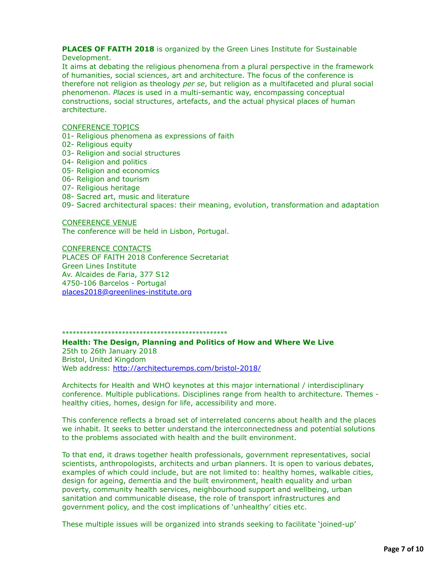# **PLACES OF FAITH 2018** is organized by the Green Lines Institute for Sustainable Development.

It aims at debating the religious phenomena from a plural perspective in the framework of humanities, social sciences, art and architecture. The focus of the conference is therefore not religion as theology *per se*, but religion as a multifaceted and plural social phenomenon. *Places* is used in a multi-semantic way, encompassing conceptual constructions, social structures, artefacts, and the actual physical places of human architecture.

## CONFERENCE TOPICS

- 01- Religious phenomena as expressions of faith
- 02- Religious equity
- 03- Religion and social structures
- 04- Religion and politics
- 05- Religion and economics
- 06- Religion and tourism
- 07- Religious heritage
- 08- Sacred art, music and literature
- 09- Sacred architectural spaces: their meaning, evolution, transformation and adaptation

## CONFERENCE VENUE

The conference will be held in Lisbon, Portugal.

CONFERENCE CONTACTS PLACES OF FAITH 2018 Conference Secretariat Green Lines Institute Av. Alcaides de Faria, 377 S12 4750-106 Barcelos - Portugal [places2018@greenlines-institute.org](applewebdata://8DFD44B5-A39A-476E-B232-4712471B329F/places2018@greenlines-institute.org)

## \*\*\*\*\*\*\*\*\*\*\*\*\*\*\*\*\*\*\*\*\*\*\*\*\*\*\*\*\*\*\*\*\*\*\*\*\*\*\*\*\*\*\*\*\*\*\*

**Health: The Design, Planning and Politics of How and Where We Live** 25th to 26th January 2018 Bristol, United Kingdom Web address:<http://architecturemps.com/bristol-2018/>

Architects for Health and WHO keynotes at this major international / interdisciplinary conference. Multiple publications. Disciplines range from health to architecture. Themes healthy cities, homes, design for life, accessibility and more.

This conference reflects a broad set of interrelated concerns about health and the places we inhabit. It seeks to better understand the interconnectedness and potential solutions to the problems associated with health and the built environment.

To that end, it draws together health professionals, government representatives, social scientists, anthropologists, architects and urban planners. It is open to various debates, examples of which could include, but are not limited to: healthy homes, walkable cities, design for ageing, dementia and the built environment, health equality and urban poverty, community health services, neighbourhood support and wellbeing, urban sanitation and communicable disease, the role of transport infrastructures and government policy, and the cost implications of 'unhealthy' cities etc.

These multiple issues will be organized into strands seeking to facilitate 'joined-up'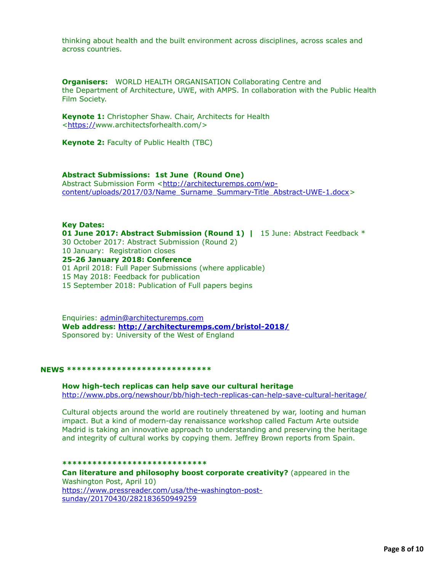thinking about health and the built environment across disciplines, across scales and across countries.

**Organisers:** WORLD HEALTH ORGANISATION Collaborating Centre and the Department of Architecture, UWE, with AMPS. In collaboration with the Public Health Film Society.

**Keynote 1:** Christopher Shaw. Chair, Architects for Health <<https://>www.architectsforhealth.com/>

**Keynote 2:** Faculty of Public Health (TBC)

## **Abstract Submissions: 1st June (Round One)**

Abstract Submission Form <http://architecturemps.com/wp[content/uploads/2017/03/Name\\_Surname\\_Summary-Title\\_Abstract-UWE-1.docx](http://architecturemps.com/wp-content/uploads/2017/03/Name_Surname_Summary-Title_Abstract-UWE-1.docx)>

### **Key Dates:**

**01 June 2017: Abstract Submission (Round 1)** | 15 June: Abstract Feedback \* 30 October 2017: Abstract Submission (Round 2) 10 January: Registration closes

**25-26 January 2018: Conference**

01 April 2018: Full Paper Submissions (where applicable)

15 May 2018: Feedback for publication

15 September 2018: Publication of Full papers begins

Enquiries: [admin@architecturemps.com](applewebdata://8DFD44B5-A39A-476E-B232-4712471B329F/admin@architecturemps.com) **Web address: <http://architecturemps.com/bristol-2018/>** Sponsored by: University of the West of England

#### **NEWS \*\*\*\*\*\*\*\*\*\*\*\*\*\*\*\*\*\*\*\*\*\*\*\*\*\*\*\*\***

**How high-tech replicas can help save our cultural heritage** <http://www.pbs.org/newshour/bb/high-tech-replicas-can-help-save-cultural-heritage/>

Cultural objects around the world are routinely threatened by war, looting and human impact. But a kind of modern-day renaissance workshop called Factum Arte outside Madrid is taking an innovative approach to understanding and preserving the heritage and integrity of cultural works by copying them. Jeffrey Brown reports from Spain.

#### **\*\*\*\*\*\*\*\*\*\*\*\*\*\*\*\*\*\*\*\*\*\*\*\*\*\*\*\*\***

**Can literature and philosophy boost corporate creativity?** (appeared in the Washington Post, April 10) [https://www.pressreader.com/usa/the-washington-post](https://www.pressreader.com/usa/the-washington-post-sunday/20170430/282183650949259)sunday/20170430/282183650949259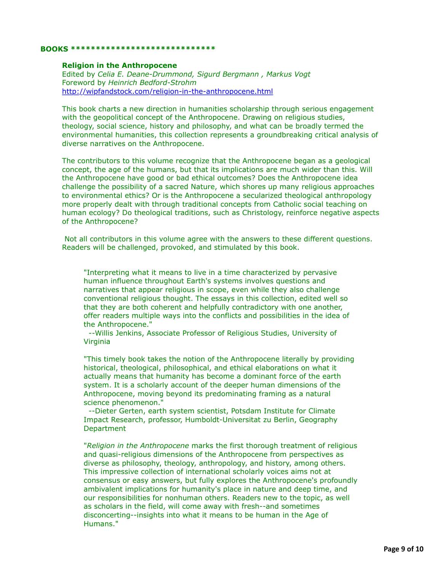#### **BOOKS \*\*\*\*\*\*\*\*\*\*\*\*\*\*\*\*\*\*\*\*\*\*\*\*\*\*\*\*\***

### **Religion in the Anthropocene**

Edited by *Celia E. Deane-Drummond, Sigurd Bergmann , Markus Vogt* Foreword by *Heinrich Bedford-Strohm* <http://wipfandstock.com/religion-in-the-anthropocene.html>

This book charts a new direction in humanities scholarship through serious engagement with the geopolitical concept of the Anthropocene. Drawing on religious studies, theology, social science, history and philosophy, and what can be broadly termed the environmental humanities, this collection represents a groundbreaking critical analysis of diverse narratives on the Anthropocene.

The contributors to this volume recognize that the Anthropocene began as a geological concept, the age of the humans, but that its implications are much wider than this. Will the Anthropocene have good or bad ethical outcomes? Does the Anthropocene idea challenge the possibility of a sacred Nature, which shores up many religious approaches to environmental ethics? Or is the Anthropocene a secularized theological anthropology more properly dealt with through traditional concepts from Catholic social teaching on human ecology? Do theological traditions, such as Christology, reinforce negative aspects of the Anthropocene?

 Not all contributors in this volume agree with the answers to these different questions. Readers will be challenged, provoked, and stimulated by this book.

"Interpreting what it means to live in a time characterized by pervasive human influence throughout Earth's systems involves questions and narratives that appear religious in scope, even while they also challenge conventional religious thought. The essays in this collection, edited well so that they are both coherent and helpfully contradictory with one another, offer readers multiple ways into the conflicts and possibilities in the idea of the Anthropocene."

 --Willis Jenkins, Associate Professor of Religious Studies, University of Virginia

"This timely book takes the notion of the Anthropocene literally by providing historical, theological, philosophical, and ethical elaborations on what it actually means that humanity has become a dominant force of the earth system. It is a scholarly account of the deeper human dimensions of the Anthropocene, moving beyond its predominating framing as a natural science phenomenon."

 --Dieter Gerten, earth system scientist, Potsdam Institute for Climate Impact Research, professor, Humboldt-Universitat zu Berlin, Geography **Department** 

"*Religion in the Anthropocene* marks the first thorough treatment of religious and quasi-religious dimensions of the Anthropocene from perspectives as diverse as philosophy, theology, anthropology, and history, among others. This impressive collection of international scholarly voices aims not at consensus or easy answers, but fully explores the Anthropocene's profoundly ambivalent implications for humanity's place in nature and deep time, and our responsibilities for nonhuman others. Readers new to the topic, as well as scholars in the field, will come away with fresh--and sometimes disconcerting--insights into what it means to be human in the Age of Humans."